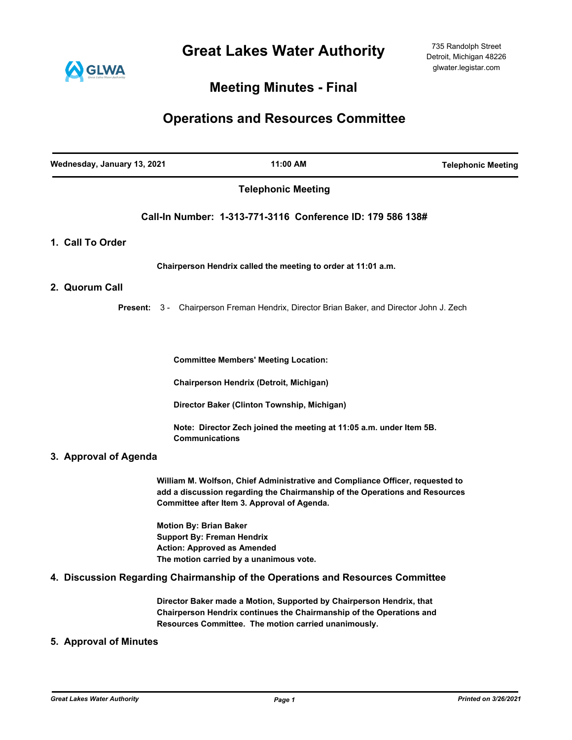**Great Lakes Water Authority**



## **Meeting Minutes - Final**

# **Operations and Resources Committee**

| Wednesday, January 13, 2021 | 11:00 AM                                                                                                                                                                                                    | <b>Telephonic Meeting</b> |
|-----------------------------|-------------------------------------------------------------------------------------------------------------------------------------------------------------------------------------------------------------|---------------------------|
|                             | <b>Telephonic Meeting</b>                                                                                                                                                                                   |                           |
|                             | Call-In Number: 1-313-771-3116 Conference ID: 179 586 138#                                                                                                                                                  |                           |
| 1. Call To Order            |                                                                                                                                                                                                             |                           |
|                             | Chairperson Hendrix called the meeting to order at 11:01 a.m.                                                                                                                                               |                           |
| 2. Quorum Call              |                                                                                                                                                                                                             |                           |
| Present:                    | 3 - Chairperson Freman Hendrix, Director Brian Baker, and Director John J. Zech                                                                                                                             |                           |
|                             | <b>Committee Members' Meeting Location:</b>                                                                                                                                                                 |                           |
|                             | Chairperson Hendrix (Detroit, Michigan)                                                                                                                                                                     |                           |
|                             | Director Baker (Clinton Township, Michigan)                                                                                                                                                                 |                           |
|                             | Note: Director Zech joined the meeting at 11:05 a.m. under Item 5B.<br><b>Communications</b>                                                                                                                |                           |
| 3. Approval of Agenda       |                                                                                                                                                                                                             |                           |
|                             | William M. Wolfson, Chief Administrative and Compliance Officer, requested to<br>add a discussion regarding the Chairmanship of the Operations and Resources<br>Committee after Item 3. Approval of Agenda. |                           |
|                             | <b>Motion By: Brian Baker</b><br><b>Support By: Freman Hendrix</b><br><b>Action: Approved as Amended</b>                                                                                                    |                           |
|                             | The motion carried by a unanimous vote.<br>4. Discussion Regarding Chairmanship of the Operations and Resources Committee                                                                                   |                           |
|                             | Director Baker made a Motion, Supported by Chairperson Hendrix, that<br>Chairperson Hendrix continues the Chairmanship of the Operations and<br>Resources Committee. The motion carried unanimously.        |                           |
| 5. Approval of Minutes      |                                                                                                                                                                                                             |                           |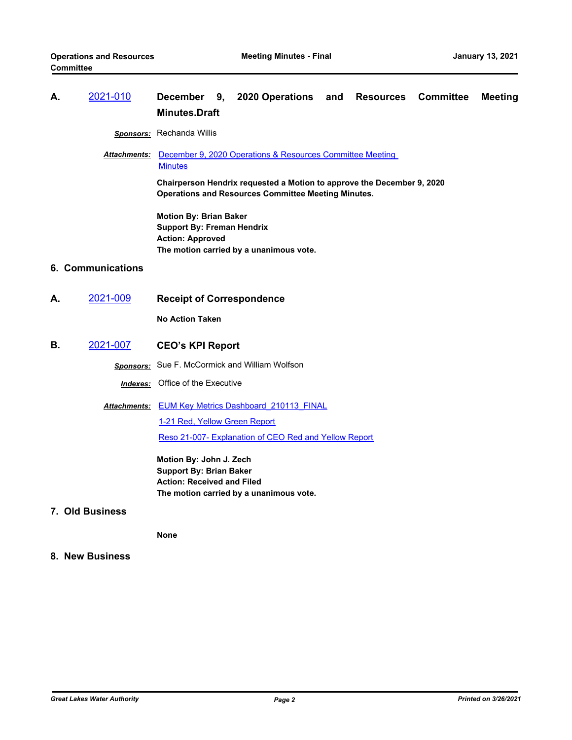### **A.** [2021-010](http://glwater.legistar.com/gateway.aspx?m=l&id=/matter.aspx?key=4347) **December 9, 2020 Operations and Resources Committee Meeting Minutes.Draft**

*Sponsors:* Rechanda Willis

Attachments: December 9, 2020 Operations & Resources Committee Meeting **Minutes** 

> **Chairperson Hendrix requested a Motion to approve the December 9, 2020 Operations and Resources Committee Meeting Minutes.**

**Motion By: Brian Baker Support By: Freman Hendrix Action: Approved The motion carried by a unanimous vote.**

### **6. Communications**

**A.** [2021-009](http://glwater.legistar.com/gateway.aspx?m=l&id=/matter.aspx?key=4346) **Receipt of Correspondence**

**No Action Taken**

**B.** [2021-007](http://glwater.legistar.com/gateway.aspx?m=l&id=/matter.aspx?key=4344) **CEO's KPI Report**

*Sponsors:* Sue F. McCormick and William Wolfson

*Indexes:* Office of the Executive

**Attachments: EUM Key Metrics Dashboard 210113 FINAL** 

[1-21 Red, Yellow Green Report](http://glwater.legistar.com/gateway.aspx?M=F&ID=5d075822-2515-45ce-bba6-b9288f5b8e5c.xlsx) [Reso 21-007- Explanation of CEO Red and Yellow Report](http://glwater.legistar.com/gateway.aspx?M=F&ID=34bf45ae-83f7-4a3d-a9ba-70c2c645eadf.docx)

**Motion By: John J. Zech Support By: Brian Baker Action: Received and Filed The motion carried by a unanimous vote.**

**7. Old Business**

**None**

**8. New Business**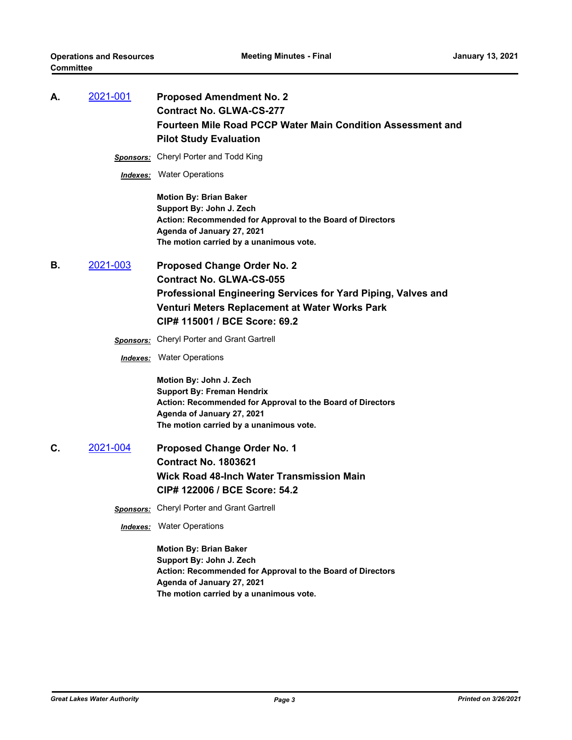| А. | 2021-001 | <b>Proposed Amendment No. 2</b><br><b>Contract No. GLWA-CS-277</b><br>Fourteen Mile Road PCCP Water Main Condition Assessment and<br><b>Pilot Study Evaluation</b>                                                        |
|----|----------|---------------------------------------------------------------------------------------------------------------------------------------------------------------------------------------------------------------------------|
|    |          | <b>Sponsors:</b> Cheryl Porter and Todd King                                                                                                                                                                              |
|    |          | <b>Indexes:</b> Water Operations                                                                                                                                                                                          |
|    |          | <b>Motion By: Brian Baker</b><br>Support By: John J. Zech<br>Action: Recommended for Approval to the Board of Directors<br>Agenda of January 27, 2021<br>The motion carried by a unanimous vote.                          |
| В. | 2021-003 | <b>Proposed Change Order No. 2</b><br><b>Contract No. GLWA-CS-055</b><br>Professional Engineering Services for Yard Piping, Valves and<br>Venturi Meters Replacement at Water Works Park<br>CIP# 115001 / BCE Score: 69.2 |
|    |          | Sponsors: Cheryl Porter and Grant Gartrell                                                                                                                                                                                |
|    |          | <b>Indexes:</b> Water Operations                                                                                                                                                                                          |
|    |          | Motion By: John J. Zech<br><b>Support By: Freman Hendrix</b><br>Action: Recommended for Approval to the Board of Directors<br>Agenda of January 27, 2021<br>The motion carried by a unanimous vote.                       |
| C. | 2021-004 | <b>Proposed Change Order No. 1</b>                                                                                                                                                                                        |
|    |          | <b>Contract No. 1803621</b>                                                                                                                                                                                               |
|    |          | <b>Wick Road 48-Inch Water Transmission Main</b><br>CIP# 122006 / BCE Score: 54.2                                                                                                                                         |
|    |          | <b>Sponsors:</b> Cheryl Porter and Grant Gartrell                                                                                                                                                                         |
|    |          | <b>Indexes:</b> Water Operations                                                                                                                                                                                          |
|    |          | <b>Motion By: Brian Baker</b><br>Support By: John J. Zech<br>Action: Recommended for Approval to the Board of Directors<br>Agenda of January 27, 2021<br>The motion carried by a unanimous vote.                          |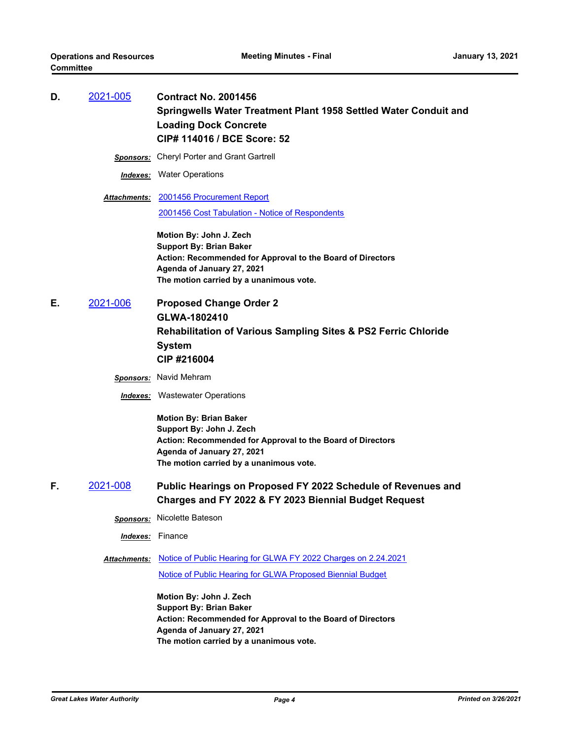| D. | 2021-005 | <b>Contract No. 2001456</b>                                      |
|----|----------|------------------------------------------------------------------|
|    |          | Springwells Water Treatment Plant 1958 Settled Water Conduit and |
|    |          | <b>Loading Dock Concrete</b>                                     |
|    |          | CIP# 114016 / BCE Score: 52                                      |

- *Sponsors:* Cheryl Porter and Grant Gartrell
- *Indexes:* Water Operations
- [2001456 Procurement Report](http://glwater.legistar.com/gateway.aspx?M=F&ID=d0fd056d-b179-457f-a09b-1df95fc7e803.pdf) *Attachments:* [2001456 Cost Tabulation - Notice of Respondents](http://glwater.legistar.com/gateway.aspx?M=F&ID=c10dcd96-c3d6-4fdf-8df0-795f70c0cd27.pdf)

**Motion By: John J. Zech Support By: Brian Baker Action: Recommended for Approval to the Board of Directors Agenda of January 27, 2021 The motion carried by a unanimous vote.**

**E.** [2021-006](http://glwater.legistar.com/gateway.aspx?m=l&id=/matter.aspx?key=4343) **Proposed Change Order 2 GLWA-1802410 Rehabilitation of Various Sampling Sites & PS2 Ferric Chloride System CIP #216004**

*Sponsors:* Navid Mehram

*Indexes:* Wastewater Operations

**Motion By: Brian Baker Support By: John J. Zech Action: Recommended for Approval to the Board of Directors Agenda of January 27, 2021 The motion carried by a unanimous vote.**

- **F.** [2021-008](http://glwater.legistar.com/gateway.aspx?m=l&id=/matter.aspx?key=4345) **Public Hearings on Proposed FY 2022 Schedule of Revenues and Charges and FY 2022 & FY 2023 Biennial Budget Request** 
	- *Sponsors:* Nicolette Bateson

*Indexes:* Finance

Attachments: [Notice of Public Hearing for GLWA FY 2022 Charges on 2.24.2021](http://glwater.legistar.com/gateway.aspx?M=F&ID=74133b5c-cce0-4311-891e-6bbe2d208897.pdf)

[Notice of Public Hearing for GLWA Proposed Biennial Budget](http://glwater.legistar.com/gateway.aspx?M=F&ID=940f3b8e-c308-49cd-b50a-912d8e0501e3.pdf)

**Motion By: John J. Zech Support By: Brian Baker Action: Recommended for Approval to the Board of Directors Agenda of January 27, 2021 The motion carried by a unanimous vote.**